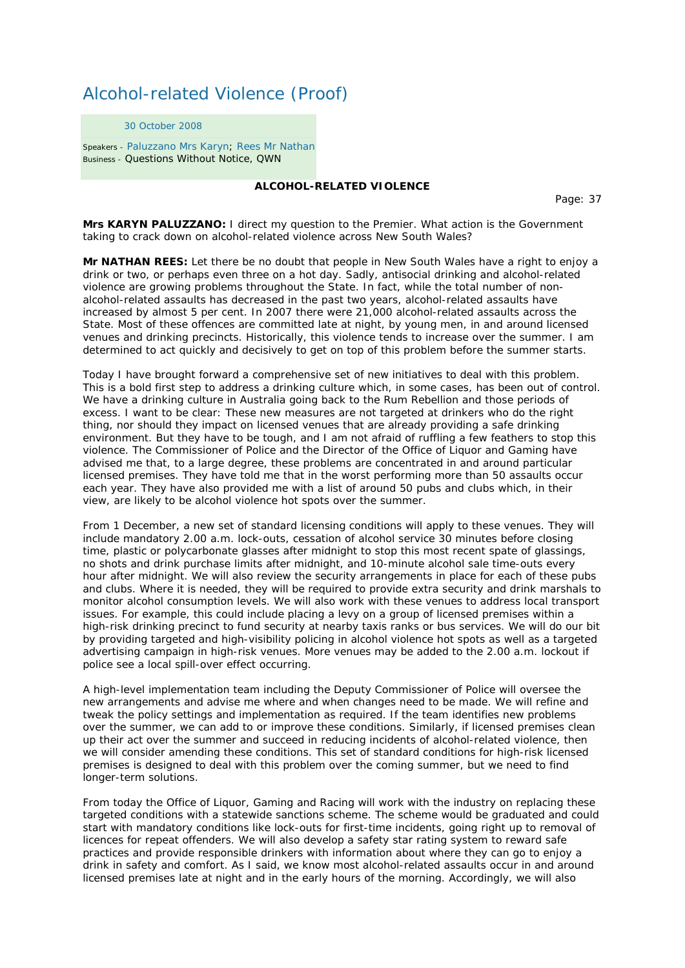## Alcohol-related Violence (Proof)

30 October 2008

Speakers - Paluzzano Mrs Karyn; Rees Mr Nathan Business - Questions Without Notice, QWN

## **ALCOHOL-RELATED VIOLENCE**

Page: 37

**Mrs KARYN PALUZZANO:** I direct my question to the Premier. What action is the Government taking to crack down on alcohol-related violence across New South Wales?

**Mr NATHAN REES:** Let there be no doubt that people in New South Wales have a right to enjoy a drink or two, or perhaps even three on a hot day. Sadly, antisocial drinking and alcohol-related violence are growing problems throughout the State. In fact, while the total number of nonalcohol-related assaults has decreased in the past two years, alcohol-related assaults have increased by almost 5 per cent. In 2007 there were 21,000 alcohol-related assaults across the State. Most of these offences are committed late at night, by young men, in and around licensed venues and drinking precincts. Historically, this violence tends to increase over the summer. I am determined to act quickly and decisively to get on top of this problem before the summer starts.

Today I have brought forward a comprehensive set of new initiatives to deal with this problem. This is a bold first step to address a drinking culture which, in some cases, has been out of control. We have a drinking culture in Australia going back to the Rum Rebellion and those periods of excess. I want to be clear: These new measures are not targeted at drinkers who do the right thing, nor should they impact on licensed venues that are already providing a safe drinking environment. But they have to be tough, and I am not afraid of ruffling a few feathers to stop this violence. The Commissioner of Police and the Director of the Office of Liquor and Gaming have advised me that, to a large degree, these problems are concentrated in and around particular licensed premises. They have told me that in the worst performing more than 50 assaults occur each year. They have also provided me with a list of around 50 pubs and clubs which, in their view, are likely to be alcohol violence hot spots over the summer.

From 1 December, a new set of standard licensing conditions will apply to these venues. They will include mandatory 2.00 a.m. lock-outs, cessation of alcohol service 30 minutes before closing time, plastic or polycarbonate glasses after midnight to stop this most recent spate of glassings, no shots and drink purchase limits after midnight, and 10-minute alcohol sale time-outs every hour after midnight. We will also review the security arrangements in place for each of these pubs and clubs. Where it is needed, they will be required to provide extra security and drink marshals to monitor alcohol consumption levels. We will also work with these venues to address local transport issues. For example, this could include placing a levy on a group of licensed premises within a high-risk drinking precinct to fund security at nearby taxis ranks or bus services. We will do our bit by providing targeted and high-visibility policing in alcohol violence hot spots as well as a targeted advertising campaign in high-risk venues. More venues may be added to the 2.00 a.m. lockout if police see a local spill-over effect occurring.

A high-level implementation team including the Deputy Commissioner of Police will oversee the new arrangements and advise me where and when changes need to be made. We will refine and tweak the policy settings and implementation as required. If the team identifies new problems over the summer, we can add to or improve these conditions. Similarly, if licensed premises clean up their act over the summer and succeed in reducing incidents of alcohol-related violence, then we will consider amending these conditions. This set of standard conditions for high-risk licensed premises is designed to deal with this problem over the coming summer, but we need to find longer-term solutions.

From today the Office of Liquor, Gaming and Racing will work with the industry on replacing these targeted conditions with a statewide sanctions scheme. The scheme would be graduated and could start with mandatory conditions like lock-outs for first-time incidents, going right up to removal of licences for repeat offenders. We will also develop a safety star rating system to reward safe practices and provide responsible drinkers with information about where they can go to enjoy a drink in safety and comfort. As I said, we know most alcohol-related assaults occur in and around licensed premises late at night and in the early hours of the morning. Accordingly, we will also